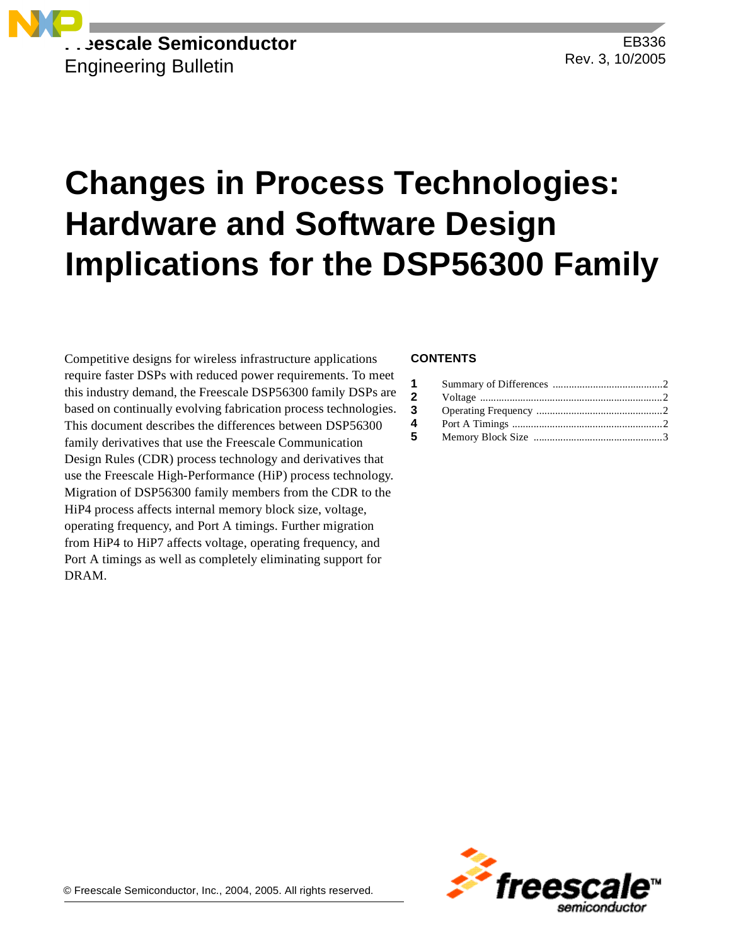

EB336 Rev. 3, 10/2005

# **Changes in Process Technologies: Hardware and Software Design Implications for the DSP56300 Family**

Competitive designs for wireless infrastructure applications require faster DSPs with reduced power requirements. To meet this industry demand, the Freescale DSP56300 family DSPs are based on continually evolving fabrication process technologies. This document describes the differences between DSP56300 family derivatives that use the Freescale Communication Design Rules (CDR) process technology and derivatives that use the Freescale High-Performance (HiP) process technology. Migration of DSP56300 family members from the CDR to the HiP4 process affects internal memory block size, voltage, operating frequency, and Port A timings. Further migration from HiP4 to HiP7 affects voltage, operating frequency, and Port A timings as well as completely eliminating support for DRAM.

#### **CONTENTS**

| $1 \quad$    |  |
|--------------|--|
| $\mathbf{2}$ |  |
| 3            |  |
| 4            |  |
| 5            |  |

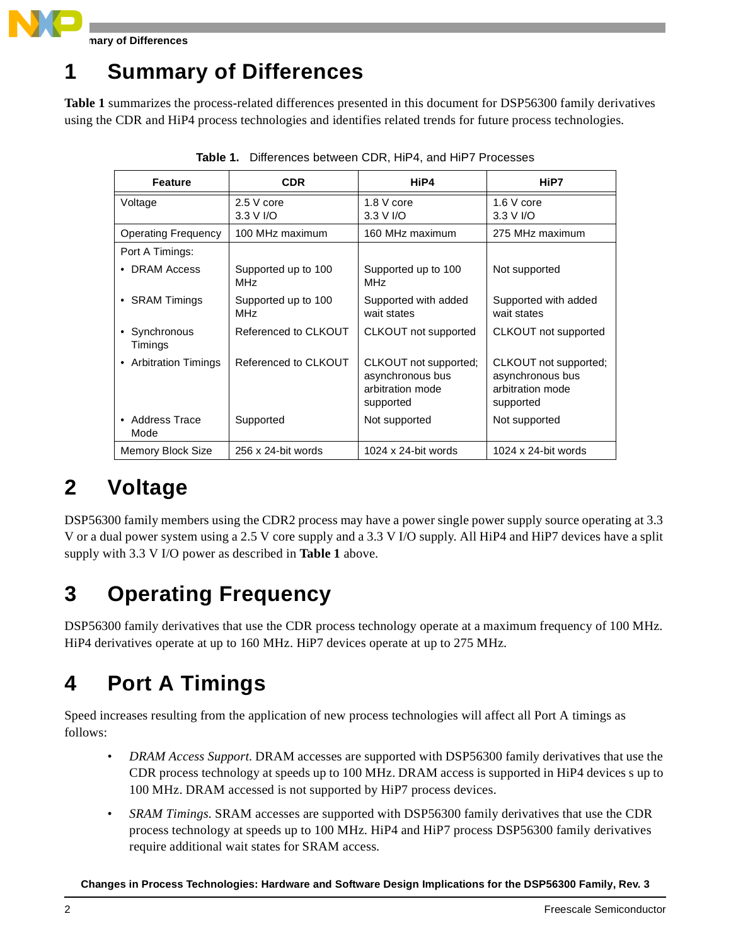

**Summary of Differences**

### **1 Summary of Differences**

**Table 1** summarizes the process-related differences presented in this document for DSP56300 family derivatives using the CDR and HiP4 process technologies and identifies related trends for future process technologies.

| <b>Feature</b>                  | <b>CDR</b>                 | HiP4                                                                       | HiP7                                                                       |
|---------------------------------|----------------------------|----------------------------------------------------------------------------|----------------------------------------------------------------------------|
| Voltage                         | $2.5V$ core<br>3.3 V I/O   | 1.8 V core<br>3.3 V I/O                                                    | 1.6 V core<br>3.3 V I/O                                                    |
| <b>Operating Frequency</b>      | 100 MHz maximum            | 160 MHz maximum                                                            | 275 MHz maximum                                                            |
| Port A Timings:                 |                            |                                                                            |                                                                            |
| <b>DRAM Access</b><br>٠         | Supported up to 100<br>MHz | Supported up to 100<br>MHz                                                 | Not supported                                                              |
| • SRAM Timings                  | Supported up to 100<br>MHz | Supported with added<br>wait states                                        | Supported with added<br>wait states                                        |
| • Synchronous<br>Timings        | Referenced to CLKOUT       | CLKOUT not supported                                                       | CLKOUT not supported                                                       |
| <b>Arbitration Timings</b><br>٠ | Referenced to CLKOUT       | CLKOUT not supported;<br>asynchronous bus<br>arbitration mode<br>supported | CLKOUT not supported;<br>asynchronous bus<br>arbitration mode<br>supported |
| • Address Trace<br>Mode         | Supported                  | Not supported                                                              | Not supported                                                              |
| Memory Block Size               | 256 x 24-bit words         | 1024 x 24-bit words                                                        | 1024 x 24-bit words                                                        |

**Table 1.** Differences between CDR, HiP4, and HiP7 Processes

#### **2 Voltage**

DSP56300 family members using the CDR2 process may have a power single power supply source operating at 3.3 V or a dual power system using a 2.5 V core supply and a 3.3 V I/O supply. All HiP4 and HiP7 devices have a split supply with 3.3 V I/O power as described in **Table 1** above.

## **3 Operating Frequency**

DSP56300 family derivatives that use the CDR process technology operate at a maximum frequency of 100 MHz. HiP4 derivatives operate at up to 160 MHz. HiP7 devices operate at up to 275 MHz.

### **4 Port A Timings**

Speed increases resulting from the application of new process technologies will affect all Port A timings as follows:

- *DRAM Access Support.* DRAM accesses are supported with DSP56300 family derivatives that use the CDR process technology at speeds up to 100 MHz. DRAM access is supported in HiP4 devices s up to 100 MHz. DRAM accessed is not supported by HiP7 process devices.
- *SRAM Timings*. SRAM accesses are supported with DSP56300 family derivatives that use the CDR process technology at speeds up to 100 MHz. HiP4 and HiP7 process DSP56300 family derivatives require additional wait states for SRAM access.

**Changes in Process Technologies: Hardware and Software Design Implications for the DSP56300 Family, Rev. 3**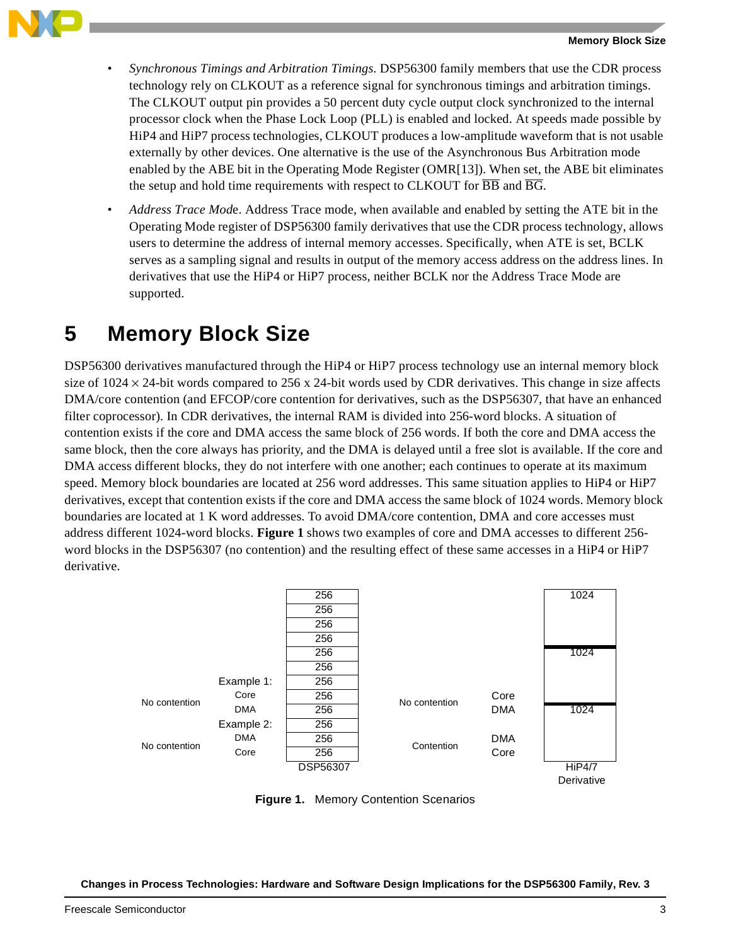

- *Synchronous Timings and Arbitration Timings*. DSP56300 family members that use the CDR process technology rely on CLKOUT as a reference signal for synchronous timings and arbitration timings. The CLKOUT output pin provides a 50 percent duty cycle output clock synchronized to the internal processor clock when the Phase Lock Loop (PLL) is enabled and locked. At speeds made possible by HiP4 and HiP7 process technologies, CLKOUT produces a low-amplitude waveform that is not usable externally by other devices. One alternative is the use of the Asynchronous Bus Arbitration mode enabled by the ABE bit in the Operating Mode Register (OMR[13]). When set, the ABE bit eliminates the setup and hold time requirements with respect to CLKOUT for  $\overline{BB}$  and  $\overline{BG}$ .
- *Address Trace Mod*e. Address Trace mode, when available and enabled by setting the ATE bit in the Operating Mode register of DSP56300 family derivatives that use the CDR process technology, allows users to determine the address of internal memory accesses. Specifically, when ATE is set, BCLK serves as a sampling signal and results in output of the memory access address on the address lines. In derivatives that use the HiP4 or HiP7 process, neither BCLK nor the Address Trace Mode are supported.

#### **5 Memory Block Size**

DSP56300 derivatives manufactured through the HiP4 or HiP7 process technology use an internal memory block size of  $1024 \times 24$ -bit words compared to 256 x 24-bit words used by CDR derivatives. This change in size affects DMA/core contention (and EFCOP/core contention for derivatives, such as the DSP56307, that have an enhanced filter coprocessor). In CDR derivatives, the internal RAM is divided into 256-word blocks. A situation of contention exists if the core and DMA access the same block of 256 words. If both the core and DMA access the same block, then the core always has priority, and the DMA is delayed until a free slot is available. If the core and DMA access different blocks, they do not interfere with one another; each continues to operate at its maximum speed. Memory block boundaries are located at 256 word addresses. This same situation applies to HiP4 or HiP7 derivatives, except that contention exists if the core and DMA access the same block of 1024 words. Memory block boundaries are located at 1 K word addresses. To avoid DMA/core contention, DMA and core accesses must address different 1024-word blocks. **Figure 1** shows two examples of core and DMA accesses to different 256 word blocks in the DSP56307 (no contention) and the resulting effect of these same accesses in a HiP4 or HiP7 derivative.



**Figure 1.** Memory Contention Scenarios

**Changes in Process Technologies: Hardware and Software Design Implications for the DSP56300 Family, Rev. 3**